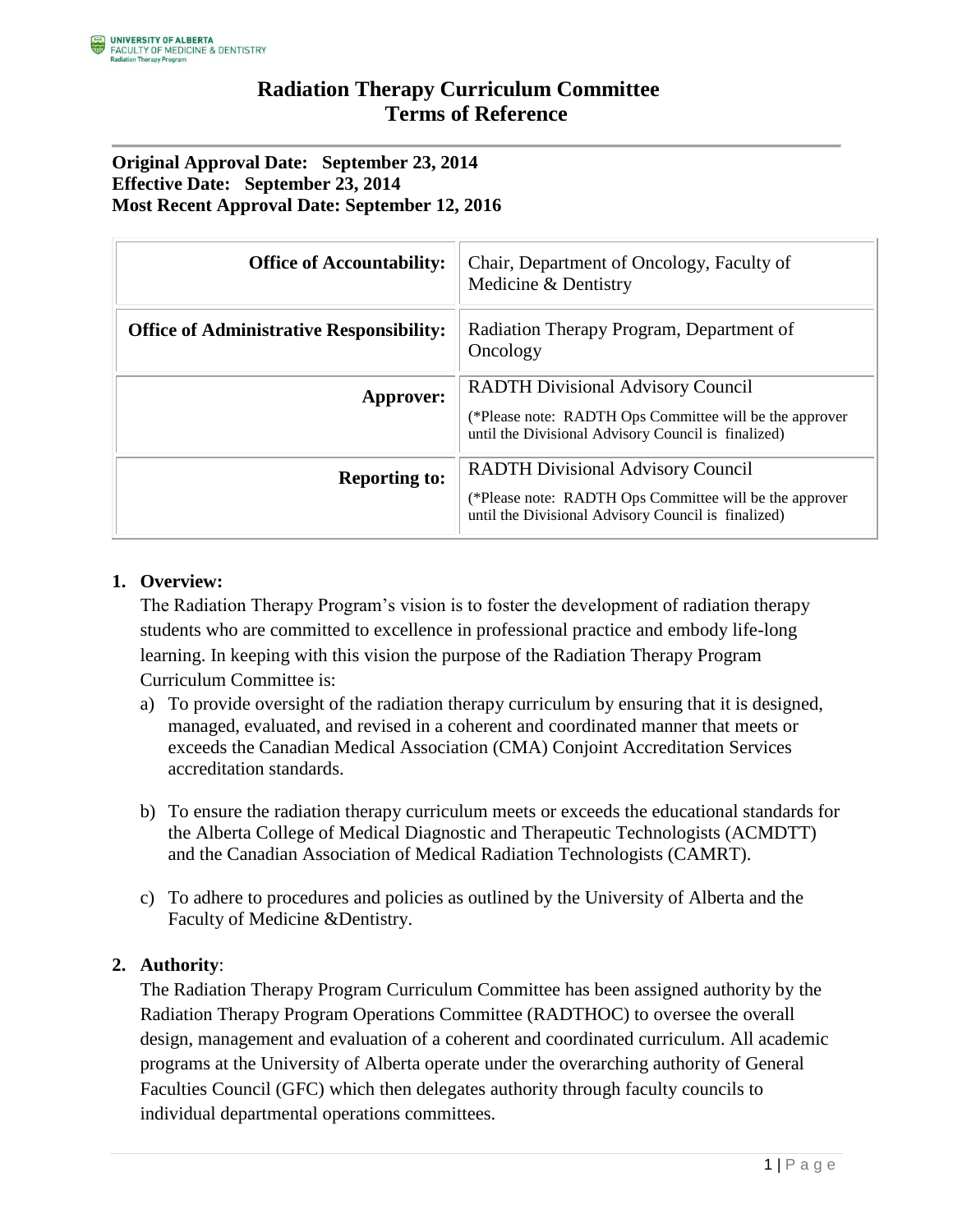#### **Original Approval Date: September 23, 2014 Effective Date: September 23, 2014 Most Recent Approval Date: September 12, 2016**

| <b>Office of Accountability:</b>                | Chair, Department of Oncology, Faculty of<br>Medicine & Dentistry                                                                                          |
|-------------------------------------------------|------------------------------------------------------------------------------------------------------------------------------------------------------------|
| <b>Office of Administrative Responsibility:</b> | Radiation Therapy Program, Department of<br>Oncology                                                                                                       |
| Approver:                                       | <b>RADTH Divisional Advisory Council</b><br>(*Please note: RADTH Ops Committee will be the approver<br>until the Divisional Advisory Council is finalized) |
| <b>Reporting to:</b>                            | <b>RADTH Divisional Advisory Council</b><br>(*Please note: RADTH Ops Committee will be the approver<br>until the Divisional Advisory Council is finalized) |

### **1. Overview:**

The Radiation Therapy Program's vision is to foster the development of radiation therapy students who are committed to excellence in professional practice and embody life-long learning. In keeping with this vision the purpose of the Radiation Therapy Program Curriculum Committee is:

- a) To provide oversight of the radiation therapy curriculum by ensuring that it is designed, managed, evaluated, and revised in a coherent and coordinated manner that meets or exceeds the Canadian Medical Association (CMA) Conjoint Accreditation Services accreditation standards.
- b) To ensure the radiation therapy curriculum meets or exceeds the educational standards for the Alberta College of Medical Diagnostic and Therapeutic Technologists (ACMDTT) and the Canadian Association of Medical Radiation Technologists (CAMRT).
- c) To adhere to procedures and policies as outlined by the University of Alberta and the Faculty of Medicine &Dentistry.

### **2. Authority**:

The Radiation Therapy Program Curriculum Committee has been assigned authority by the Radiation Therapy Program Operations Committee (RADTHOC) to oversee the overall design, management and evaluation of a coherent and coordinated curriculum. All academic programs at the University of Alberta operate under the overarching authority of General Faculties Council (GFC) which then delegates authority through faculty councils to individual departmental operations committees.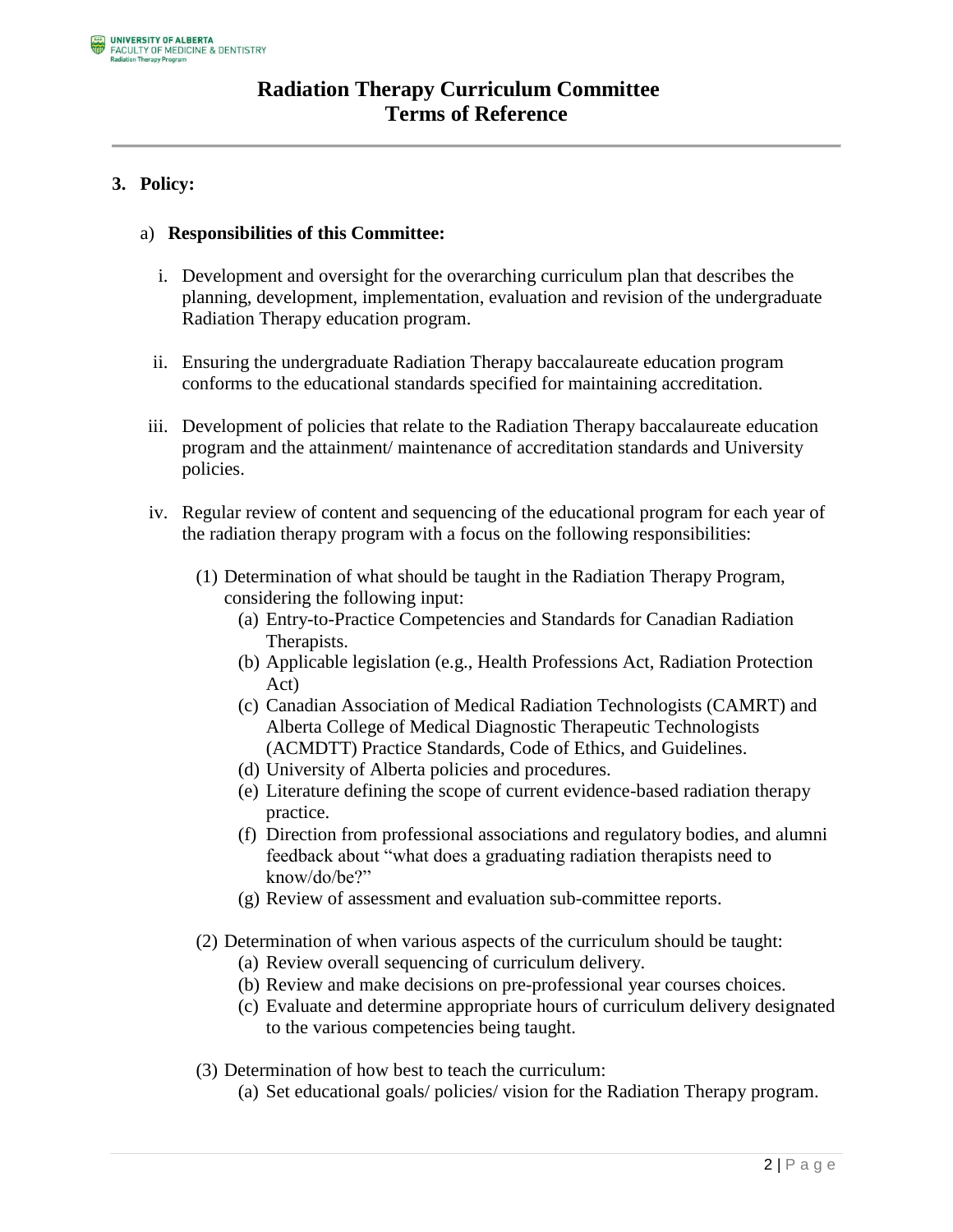## **3. Policy:**

#### a) **Responsibilities of this Committee:**

- i. Development and oversight for the overarching curriculum plan that describes the planning, development, implementation, evaluation and revision of the undergraduate Radiation Therapy education program.
- ii. Ensuring the undergraduate Radiation Therapy baccalaureate education program conforms to the educational standards specified for maintaining accreditation.
- iii. Development of policies that relate to the Radiation Therapy baccalaureate education program and the attainment/ maintenance of accreditation standards and University policies.
- iv. Regular review of content and sequencing of the educational program for each year of the radiation therapy program with a focus on the following responsibilities:
	- (1) Determination of what should be taught in the Radiation Therapy Program, considering the following input:
		- (a) Entry-to-Practice Competencies and Standards for Canadian Radiation Therapists.
		- (b) Applicable legislation (e.g., Health Professions Act, Radiation Protection Act)
		- (c) Canadian Association of Medical Radiation Technologists (CAMRT) and Alberta College of Medical Diagnostic Therapeutic Technologists (ACMDTT) Practice Standards, Code of Ethics, and Guidelines.
		- (d) University of Alberta policies and procedures.
		- (e) Literature defining the scope of current evidence-based radiation therapy practice.
		- (f) Direction from professional associations and regulatory bodies, and alumni feedback about "what does a graduating radiation therapists need to know/do/be?"
		- (g) Review of assessment and evaluation sub-committee reports.
	- (2) Determination of when various aspects of the curriculum should be taught:
		- (a) Review overall sequencing of curriculum delivery.
		- (b) Review and make decisions on pre-professional year courses choices.
		- (c) Evaluate and determine appropriate hours of curriculum delivery designated to the various competencies being taught.
	- (3) Determination of how best to teach the curriculum:
		- (a) Set educational goals/ policies/ vision for the Radiation Therapy program.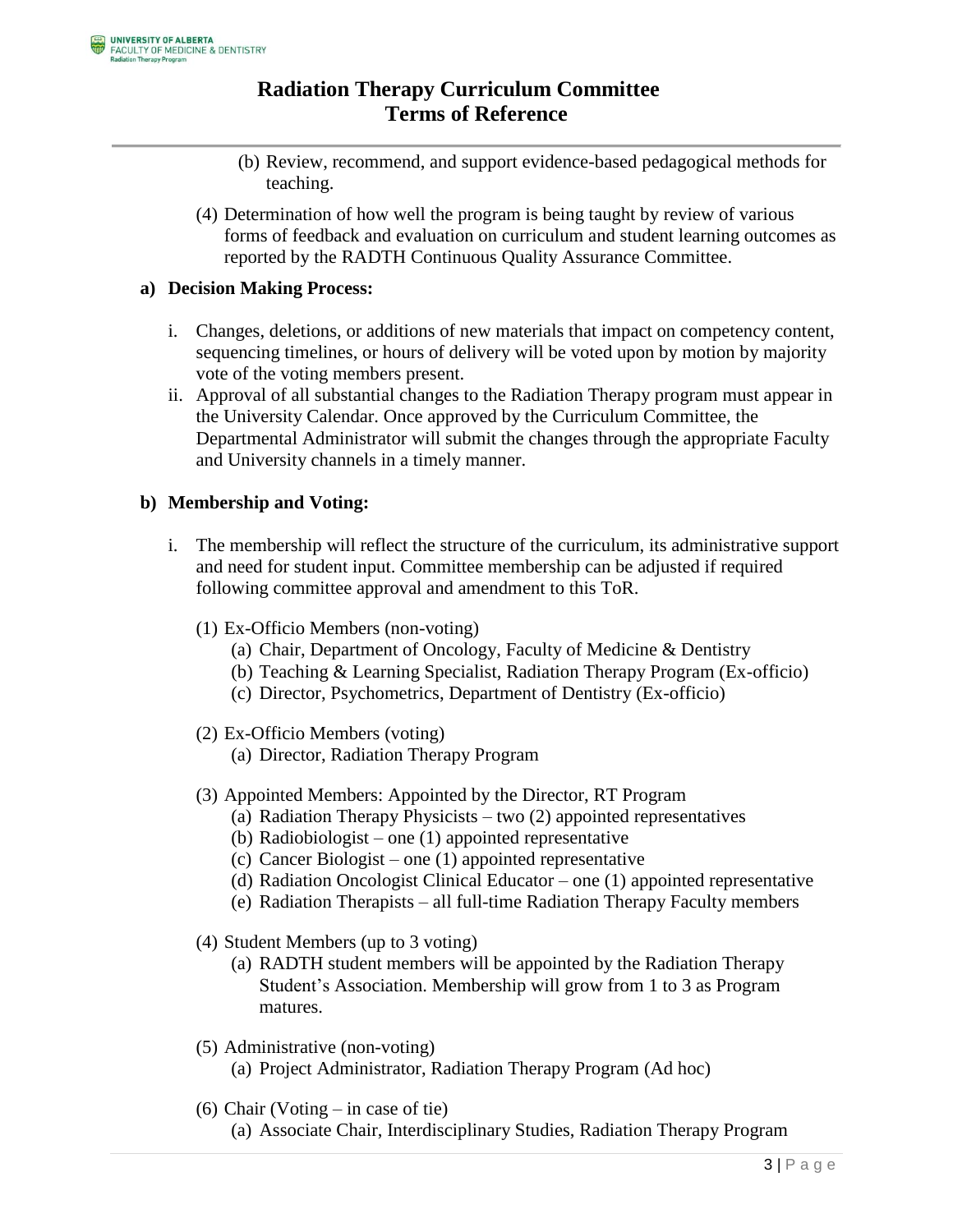- (b) Review, recommend, and support evidence-based pedagogical methods for teaching.
- (4) Determination of how well the program is being taught by review of various forms of feedback and evaluation on curriculum and student learning outcomes as reported by the RADTH Continuous Quality Assurance Committee.

### **a) Decision Making Process:**

- i. Changes, deletions, or additions of new materials that impact on competency content, sequencing timelines, or hours of delivery will be voted upon by motion by majority vote of the voting members present.
- ii. Approval of all substantial changes to the Radiation Therapy program must appear in the University Calendar. Once approved by the Curriculum Committee, the Departmental Administrator will submit the changes through the appropriate Faculty and University channels in a timely manner.

### **b) Membership and Voting:**

- i. The membership will reflect the structure of the curriculum, its administrative support and need for student input. Committee membership can be adjusted if required following committee approval and amendment to this ToR.
	- (1) Ex-Officio Members (non-voting)
		- (a) Chair, Department of Oncology, Faculty of Medicine & Dentistry
		- (b) Teaching & Learning Specialist, Radiation Therapy Program (Ex-officio)
		- (c) Director, Psychometrics, Department of Dentistry (Ex-officio)
	- (2) Ex-Officio Members (voting)
		- (a) Director, Radiation Therapy Program
	- (3) Appointed Members: Appointed by the Director, RT Program
		- (a) Radiation Therapy Physicists two (2) appointed representatives
			- (b) Radiobiologist one (1) appointed representative
			- (c) Cancer Biologist one (1) appointed representative
			- (d) Radiation Oncologist Clinical Educator one (1) appointed representative
			- (e) Radiation Therapists all full-time Radiation Therapy Faculty members
	- (4) Student Members (up to 3 voting)
		- (a) RADTH student members will be appointed by the Radiation Therapy Student's Association. Membership will grow from 1 to 3 as Program matures.
	- (5) Administrative (non-voting) (a) Project Administrator, Radiation Therapy Program (Ad hoc)
	- (6) Chair (Voting in case of tie) (a) Associate Chair, Interdisciplinary Studies, Radiation Therapy Program